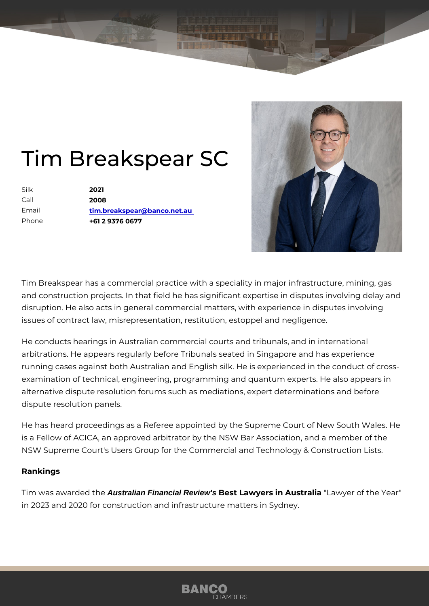## Tim Breakspear SC

| Silk    | 2021                        |
|---------|-----------------------------|
| $C$ all | 2008                        |
| Email   | tim.breakspear@banco.net.au |
| Phone   | +61 2 9376 0677             |

Tim Breakspear has a commercial practice with a speciality in major infra and construction projects. In that field he has significant expertise in dis disruption. He also acts in general commercial matters, with experience i issues of contract law, misrepresentation, restitution, estoppel and negli

He conducts hearings in Australian commercial courts and tribunals, and arbitrations. He appears regularly before Tribunals seated in Singapore a running cases against both Australian and English silk. He is experience examination of technical, engineering, programming and quantum experts alternative dispute resolution forums such as mediations, expert determinations dispute resolution panels.

He has heard proceedings as a Referee appointed by the Supreme Court is a Fellow of ACICA, an approved arbitrator by the NSW Bar Association NSW Supreme Court's Users Group for the Commercial and Technology &

## Rankings

Tim was awarde Adustralian Financial Review's Best Lawyers in Austraawiy aer of the Year in 2023 and 2020 for construction and infrastructure matters in Sydney.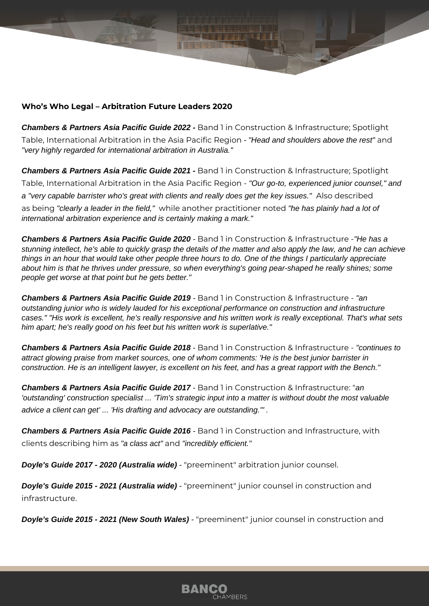## **Who's Who Legal – Arbitration Future Leaders 2020**

**Chambers & Partners Asia Pacific Guide 2022 -** Band 1 in Construction & Infrastructure; Spotlight Table, International Arbitration in the Asia Pacific Region - "Head and shoulders above the rest" and "very highly regarded for international arbitration in Australia."

**Chambers & Partners Asia Pacific Guide 2021 - Band 1 in Construction & Infrastructure; Spotlight** Table, International Arbitration in the Asia Pacific Region - "Our go-to, experienced junior counsel," and a "very capable barrister who's great with clients and really does get the key issues." Also described as being "clearly a leader in the field," while another practitioner noted "he has plainly had a lot of international arbitration experience and is certainly making a mark."

**Chambers & Partners Asia Pacific Guide 2020** - Band 1 in Construction & Infrastructure -"He has a stunning intellect, he's able to quickly grasp the details of the matter and also apply the law, and he can achieve things in an hour that would take other people three hours to do. One of the things I particularly appreciate about him is that he thrives under pressure, so when everything's going pear-shaped he really shines; some people get worse at that point but he gets better."

**Chambers & Partners Asia Pacific Guide 2019** - Band 1 in Construction & Infrastructure - "an outstanding junior who is widely lauded for his exceptional performance on construction and infrastructure cases." "His work is excellent, he's really responsive and his written work is really exceptional. That's what sets him apart; he's really good on his feet but his written work is superlative."

**Chambers & Partners Asia Pacific Guide 2018** - Band 1 in Construction & Infrastructure - "continues to attract glowing praise from market sources, one of whom comments: 'He is the best junior barrister in construction. He is an intelligent lawyer, is excellent on his feet, and has a great rapport with the Bench."

**Chambers & Partners Asia Pacific Guide 2017** - Band 1 in Construction & Infrastructure: "an 'outstanding' construction specialist ... 'Tim's strategic input into a matter is without doubt the most valuable advice a client can get' ... 'His drafting and advocacy are outstanding.'" .

**Chambers & Partners Asia Pacific Guide 2016** - Band 1 in Construction and Infrastructure, with clients describing him as "a class act" and "incredibly efficient."

**Doyle's Guide 2017 - 2020 (Australia wide)** - "preeminent" arbitration junior counsel.

**Doyle's Guide 2015 - 2021 (Australia wide)** - "preeminent" junior counsel in construction and infrastructure.

**Doyle's Guide 2015 - 2021 (New South Wales)** - "preeminent" junior counsel in construction and